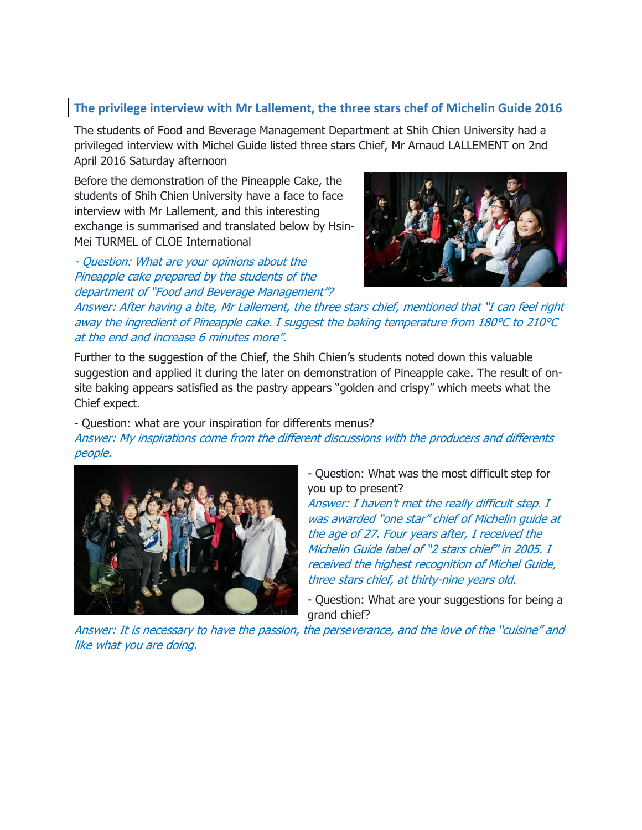## **The privilege interview with Mr Lallement, the three stars chef of Michelin Guide 2016**

The students of Food and Beverage Management Department at Shih Chien University had a privileged interview with Michel Guide listed three stars Chief, Mr Arnaud LALLEMENT on 2nd April 2016 Saturday afternoon

Before the demonstration of the Pineapple Cake, the students of Shih Chien University have a face to face interview with Mr Lallement, and this interesting exchange is summarised and translated below by Hsin-Mei TURMEL of CLOE International

- Question: What are your opinions about the Pineapple cake prepared by the students of the department of "Food and Beverage Management"?



Answer: After having a bite, Mr Lallement, the three stars chief, mentioned that "I can feel right away the ingredient of Pineapple cake. I suggest the baking temperature from 180°C to 210°C at the end and increase 6 minutes more".

Further to the suggestion of the Chief, the Shih Chien's students noted down this valuable suggestion and applied it during the later on demonstration of Pineapple cake. The result of onsite baking appears satisfied as the pastry appears "golden and crispy" which meets what the Chief expect.

- Question: what are your inspiration for differents menus?

Answer: My inspirations come from the different discussions with the producers and differents people.



- Question: What was the most difficult step for you up to present?

Answer: I haven't met the really difficult step. I was awarded "one star" chief of Michelin guide at the age of 27. Four years after, I received the Michelin Guide label of "2 stars chief" in 2005. I received the highest recognition of Michel Guide, three stars chief, at thirty-nine years old.

- Question: What are your suggestions for being a grand chief?

Answer: It is necessary to have the passion, the perseverance, and the love of the "cuisine" and like what you are doing.